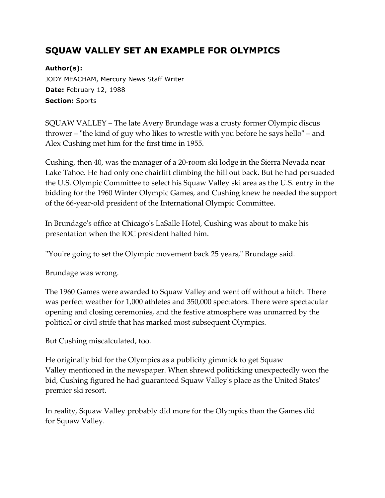## **SQUAW VALLEY SET AN EXAMPLE FOR OLYMPICS**

**Author(s):** JODY MEACHAM, Mercury News Staff Writer **Date:** February 12, 1988 **Section:** Sports

SQUAW VALLEY – The late Avery Brundage was a crusty former Olympic discus thrower – "the kind of guy who likes to wrestle with you before he says hello" – and Alex Cushing met him for the first time in 1955.

Cushing, then 40, was the manager of a 20-room ski lodge in the Sierra Nevada near Lake Tahoe. He had only one chairlift climbing the hill out back. But he had persuaded the U.S. Olympic Committee to select his Squaw Valley ski area as the U.S. entry in the bidding for the 1960 Winter Olympic Games, and Cushing knew he needed the support of the 66-year-old president of the International Olympic Committee.

In Brundage's office at Chicago's LaSalle Hotel, Cushing was about to make his presentation when the IOC president halted him.

''You're going to set the Olympic movement back 25 years," Brundage said.

Brundage was wrong.

The 1960 Games were awarded to Squaw Valley and went off without a hitch. There was perfect weather for 1,000 athletes and 350,000 spectators. There were spectacular opening and closing ceremonies, and the festive atmosphere was unmarred by the political or civil strife that has marked most subsequent Olympics.

But Cushing miscalculated, too.

He originally bid for the Olympics as a publicity gimmick to get Squaw Valley mentioned in the newspaper. When shrewd politicking unexpectedly won the bid, Cushing figured he had guaranteed Squaw Valley's place as the United States' premier ski resort.

In reality, Squaw Valley probably did more for the Olympics than the Games did for Squaw Valley.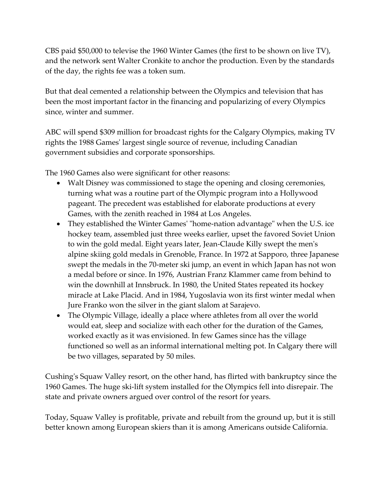CBS paid \$50,000 to televise the 1960 Winter Games (the first to be shown on live TV), and the network sent Walter Cronkite to anchor the production. Even by the standards of the day, the rights fee was a token sum.

But that deal cemented a relationship between the Olympics and television that has been the most important factor in the financing and popularizing of every Olympics since, winter and summer.

ABC will spend \$309 million for broadcast rights for the Calgary Olympics, making TV rights the 1988 Games' largest single source of revenue, including Canadian government subsidies and corporate sponsorships.

The 1960 Games also were significant for other reasons:

- Walt Disney was commissioned to stage the opening and closing ceremonies, turning what was a routine part of the Olympic program into a Hollywood pageant. The precedent was established for elaborate productions at every Games, with the zenith reached in 1984 at Los Angeles.
- They established the Winter Games' "home-nation advantage" when the U.S. ice hockey team, assembled just three weeks earlier, upset the favored Soviet Union to win the gold medal. Eight years later, Jean-Claude Killy swept the men's alpine skiing gold medals in Grenoble, France. In 1972 at Sapporo, three Japanese swept the medals in the 70-meter ski jump, an event in which Japan has not won a medal before or since. In 1976, Austrian Franz Klammer came from behind to win the downhill at Innsbruck. In 1980, the United States repeated its hockey miracle at Lake Placid. And in 1984, Yugoslavia won its first winter medal when Jure Franko won the silver in the giant slalom at Sarajevo.
- The Olympic Village, ideally a place where athletes from all over the world would eat, sleep and socialize with each other for the duration of the Games, worked exactly as it was envisioned. In few Games since has the village functioned so well as an informal international melting pot. In Calgary there will be two villages, separated by 50 miles.

Cushing's Squaw Valley resort, on the other hand, has flirted with bankruptcy since the 1960 Games. The huge ski-lift system installed for the Olympics fell into disrepair. The state and private owners argued over control of the resort for years.

Today, Squaw Valley is profitable, private and rebuilt from the ground up, but it is still better known among European skiers than it is among Americans outside California.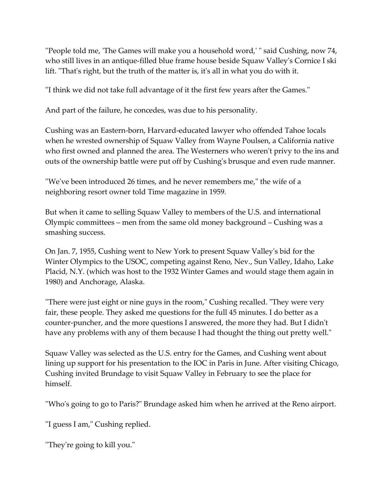''People told me, 'The Games will make you a household word,' " said Cushing, now 74, who still lives in an antique-filled blue frame house beside Squaw Valley's Cornice I ski lift. "That's right, but the truth of the matter is, it's all in what you do with it.

''I think we did not take full advantage of it the first few years after the Games."

And part of the failure, he concedes, was due to his personality.

Cushing was an Eastern-born, Harvard-educated lawyer who offended Tahoe locals when he wrested ownership of Squaw Valley from Wayne Poulsen, a California native who first owned and planned the area. The Westerners who weren't privy to the ins and outs of the ownership battle were put off by Cushing's brusque and even rude manner.

''We've been introduced 26 times, and he never remembers me," the wife of a neighboring resort owner told Time magazine in 1959.

But when it came to selling Squaw Valley to members of the U.S. and international Olympic committees – men from the same old money background – Cushing was a smashing success.

On Jan. 7, 1955, Cushing went to New York to present Squaw Valley's bid for the Winter Olympics to the USOC, competing against Reno, Nev., Sun Valley, Idaho, Lake Placid, N.Y. (which was host to the 1932 Winter Games and would stage them again in 1980) and Anchorage, Alaska.

''There were just eight or nine guys in the room," Cushing recalled. "They were very fair, these people. They asked me questions for the full 45 minutes. I do better as a counter-puncher, and the more questions I answered, the more they had. But I didn't have any problems with any of them because I had thought the thing out pretty well."

Squaw Valley was selected as the U.S. entry for the Games, and Cushing went about lining up support for his presentation to the IOC in Paris in June. After visiting Chicago, Cushing invited Brundage to visit Squaw Valley in February to see the place for himself.

''Who's going to go to Paris?" Brundage asked him when he arrived at the Reno airport.

''I guess I am," Cushing replied.

''They're going to kill you."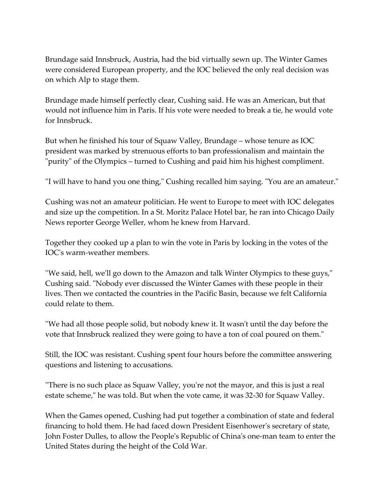Brundage said Innsbruck, Austria, had the bid virtually sewn up. The Winter Games were considered European property, and the IOC believed the only real decision was on which Alp to stage them.

Brundage made himself perfectly clear, Cushing said. He was an American, but that would not influence him in Paris. If his vote were needed to break a tie, he would vote for Innsbruck.

But when he finished his tour of Squaw Valley, Brundage – whose tenure as IOC president was marked by strenuous efforts to ban professionalism and maintain the "purity" of the Olympics – turned to Cushing and paid him his highest compliment.

''I will have to hand you one thing," Cushing recalled him saying. "You are an amateur."

Cushing was not an amateur politician. He went to Europe to meet with IOC delegates and size up the competition. In a St. Moritz Palace Hotel bar, he ran into Chicago Daily News reporter George Weller, whom he knew from Harvard.

Together they cooked up a plan to win the vote in Paris by locking in the votes of the IOC's warm-weather members.

''We said, hell, we'll go down to the Amazon and talk Winter Olympics to these guys," Cushing said. "Nobody ever discussed the Winter Games with these people in their lives. Then we contacted the countries in the Pacific Basin, because we felt California could relate to them.

''We had all those people solid, but nobody knew it. It wasn't until the day before the vote that Innsbruck realized they were going to have a ton of coal poured on them."

Still, the IOC was resistant. Cushing spent four hours before the committee answering questions and listening to accusations.

''There is no such place as Squaw Valley, you're not the mayor, and this is just a real estate scheme," he was told. But when the vote came, it was 32-30 for Squaw Valley.

When the Games opened, Cushing had put together a combination of state and federal financing to hold them. He had faced down President Eisenhower's secretary of state, John Foster Dulles, to allow the People's Republic of China's one-man team to enter the United States during the height of the Cold War.